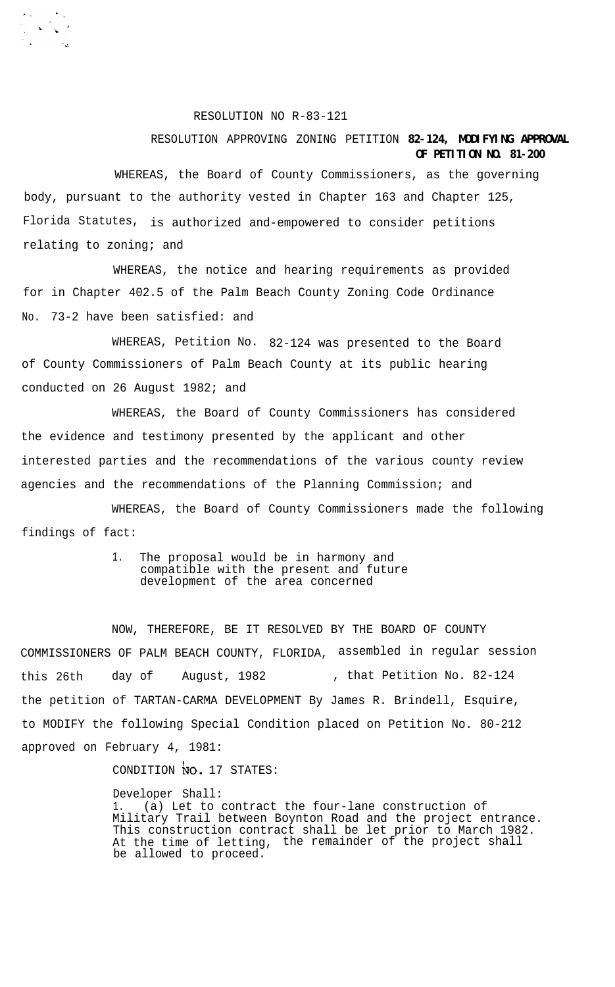RESOLUTION NO R-83-121

## RESOLUTION APPROVING ZONING PETITION **82-124, MODIFYING APPROVAL OF PETITION NO. 81-200**

WHEREAS, the Board of County Commissioners, as the governing body, pursuant to the authority vested in Chapter 163 and Chapter 125, Florida Statutes, is authorized and-empowered to consider petitions relating to zoning; and

WHEREAS, the notice and hearing requirements as provided for in Chapter 402.5 of the Palm Beach County Zoning Code Ordinance No. 73-2 have been satisfied: and

WHEREAS, Petition No. 82-124 was presented to the Board of County Commissioners of Palm Beach County at its public hearing conducted on 26 August 1982; and

WHEREAS, the Board of County Commissioners has considered the evidence and testimony presented by the applicant and other interested parties and the recommendations of the various county review agencies and the recommendations of the Planning Commission; and

WHEREAS, the Board of County Commissioners made the following findings of fact:

> 1. The proposal would be in harmony and compatible with the present and future development of the area concerned

NOW, THEREFORE, BE IT RESOLVED BY THE BOARD OF COUNTY COMMISSIONERS OF PALM BEACH COUNTY, FLORIDA, assembled in regular session this 26th day of August, 1982 , that Petition No. 82-124 the petition of TARTAN-CARMA DEVELOPMENT By James R. Brindell, Esquire, to MODIFY the following Special Condition placed on Petition No. 80-212 approved on February 4, 1981:

CONDITION NO. 17 STATES:

Developer Shall: 1. (a) Let to contract the four-lane construction of Military Trail between Boynton Road and the project entrance. This construction contract shall be let prior to March 1982. At the time of letting, the remainder of the project shall be allowed to proceed.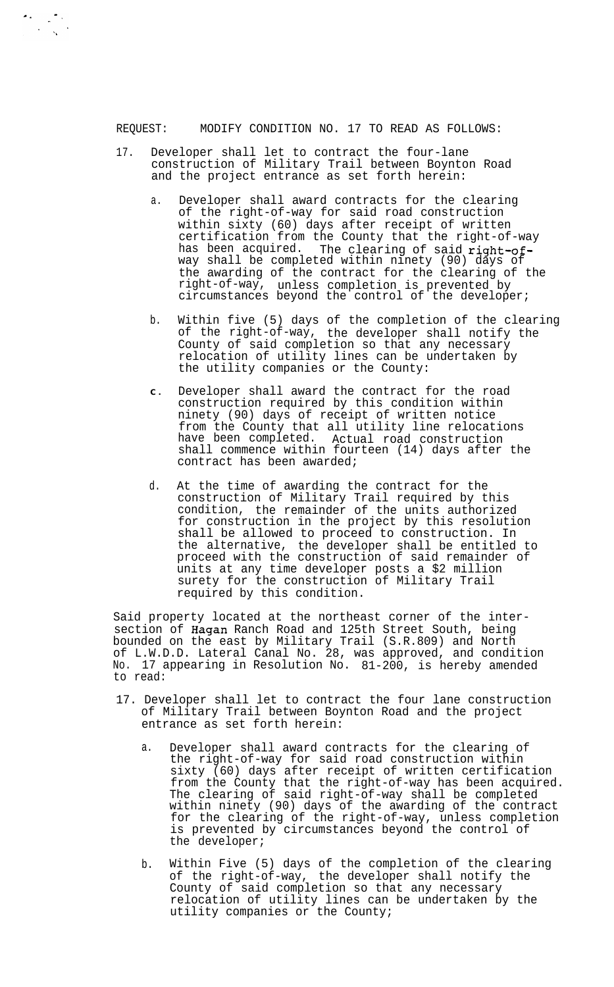REQUEST: MODIFY CONDITION NO. 17 TO READ AS FOLLOWS:

- 17. Developer shall let to contract the four-lane construction of Military Trail between Boynton Road and the project entrance as set forth herein:
	- a. Developer shall award contracts for the clearing of the right-of-way for said road construction within sixty (60) days after receipt of written certification from the County that the right-of-way has been acquired. The clearing of said right-ofway shall be completed within ninety (90) days of the awarding of the contract for the clearing of the right-of-way, unless completion is prevented by circumstances beyond the control of the developer;
	- b. Within five (5) days of the completion of the clearing of the right-of-way, the developer shall notify the County of said completion so that any necessary relocation of utility lines can be undertaken by the utility companies or the County:
	- **C .** Developer shall award the contract for the road construction required by this condition within ninety (90) days of receipt of written notice from the County that all utility line relocations have been completed. Actual road construction shall commence within fourteen (14) days after the contract has been awarded;
	- d. At the time of awarding the contract for the construction of Military Trail required by this condition, the remainder of the units authorized for construction in the project by this resolution shall be allowed to proceed to construction. In the alternative, the developer shall be entitled to proceed with the construction of said remainder of units at any time developer posts a \$2 million surety for the construction of Military Trail required by this condition.

Said property located at the northeast corner of the intersection of Hagan Ranch Road and 125th Street South, being<br>bounded on the east by Military Trail (S.R.809) and North bounded on the east by Military Trail (S.R.809) and North of L.W.D.D. Lateral Canal No. 28, was approved, and condition No. 17 appearing in Resolution No. 81-200, is hereby amended to read:

- 17. Developer shall let to contract the four lane construction of Military Trail between Boynton Road and the project entrance as set forth herein:
	- a. Developer shall award contracts for the clearing of the right-of-way for said road construction within sixty (60) days after receipt of written certification from the County that the right-of-way has been acquired. The clearing of said right-of-way shall be completed within ninety (90) days of the awarding of the contract for the clearing of the right-of-way, unless completion is prevented by circumstances beyond the control of the developer;
	- b. Within Five (5) days of the completion of the clearing of the right-of-way, the developer shall notify the County of said completion so that any necessary relocation of utility lines can be undertaken by the utility companies or the County;